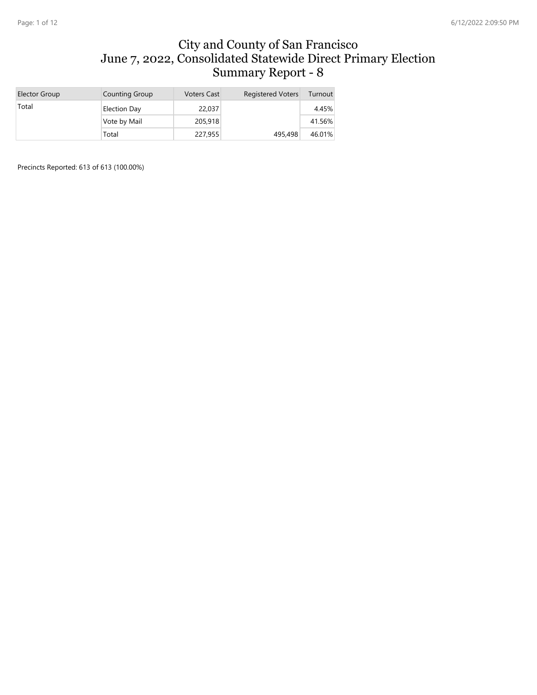#### City and County of San Francisco June 7, 2022, Consolidated Statewide Direct Primary Election Summary Report - 8

| Elector Group | Counting Group | <b>Voters Cast</b> | <b>Registered Voters</b> | Turnout |
|---------------|----------------|--------------------|--------------------------|---------|
| Total         | Election Day   | 22,037             |                          | 4.45%   |
|               | Vote by Mail   | 205,918            |                          | 41.56%  |
|               | Total          | 227,955            | 495,498                  | 46.01%  |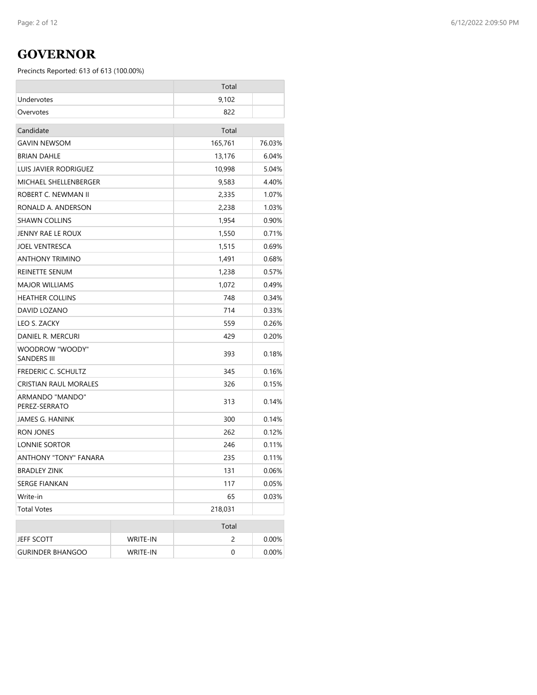# **GOVERNOR**

|                                       |          | Total   |        |
|---------------------------------------|----------|---------|--------|
| Undervotes                            |          | 9,102   |        |
| Overvotes                             |          | 822     |        |
| Candidate                             |          | Total   |        |
| <b>GAVIN NEWSOM</b>                   |          | 165,761 | 76.03% |
| <b>BRIAN DAHLE</b>                    |          | 13,176  | 6.04%  |
| LUIS JAVIER RODRIGUEZ                 |          | 10,998  | 5.04%  |
| MICHAEL SHELLENBERGER                 |          | 9,583   | 4.40%  |
| ROBERT C. NEWMAN II                   |          | 2,335   | 1.07%  |
| RONALD A. ANDERSON                    |          | 2,238   | 1.03%  |
| SHAWN COLLINS                         |          | 1,954   | 0.90%  |
| JENNY RAE LE ROUX                     |          | 1,550   | 0.71%  |
| <b>JOEL VENTRESCA</b>                 |          | 1,515   | 0.69%  |
| ANTHONY TRIMINO                       |          | 1,491   | 0.68%  |
| REINETTE SENUM                        |          | 1,238   | 0.57%  |
| <b>MAJOR WILLIAMS</b>                 |          | 1,072   | 0.49%  |
| <b>HEATHER COLLINS</b>                |          | 748     | 0.34%  |
| DAVID LOZANO                          |          | 714     | 0.33%  |
| LEO S. ZACKY                          |          | 559     | 0.26%  |
| DANIEL R. MERCURI                     |          | 429     | 0.20%  |
| WOODROW "WOODY"<br><b>SANDERS III</b> |          | 393     | 0.18%  |
| <b>FREDERIC C. SCHULTZ</b>            |          | 345     | 0.16%  |
| CRISTIAN RAUL MORALES                 |          | 326     | 0.15%  |
| ARMANDO "MANDO"<br>PEREZ-SERRATO      |          | 313     | 0.14%  |
| JAMES G. HANINK                       |          | 300     | 0.14%  |
| RON JONES                             |          | 262     | 0.12%  |
| LONNIE SORTOR                         |          | 246     | 0.11%  |
| ANTHONY "TONY" FANARA                 |          | 235     | 0.11%  |
| <b>BRADLEY ZINK</b>                   |          | 131     | 0.06%  |
| SERGE FIANKAN                         |          | 117     | 0.05%  |
| Write-in                              |          | 65      | 0.03%  |
| <b>Total Votes</b>                    |          | 218,031 |        |
|                                       |          | Total   |        |
| <b>JEFF SCOTT</b>                     | WRITE-IN | 2       | 0.00%  |
| <b>GURINDER BHANGOO</b>               | WRITE-IN | 0       | 0.00%  |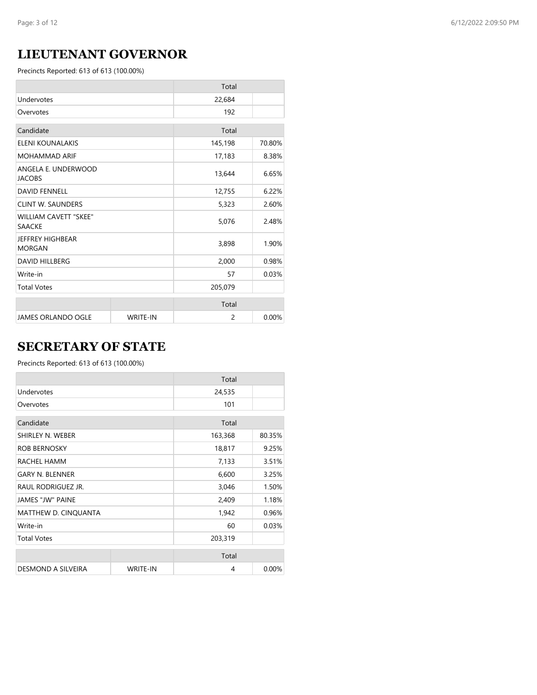## **LIEUTENANT GOVERNOR**

Precincts Reported: 613 of 613 (100.00%)

|                                               |                 | Total   |        |
|-----------------------------------------------|-----------------|---------|--------|
| Undervotes                                    |                 | 22,684  |        |
| Overvotes                                     |                 | 192     |        |
| Candidate                                     |                 | Total   |        |
| ELENI KOUNALAKIS                              |                 | 145,198 | 70.80% |
| <b>MOHAMMAD ARIF</b>                          |                 | 17,183  | 8.38%  |
| ANGELA E. UNDERWOOD<br><b>JACOBS</b>          |                 | 13,644  | 6.65%  |
| <b>DAVID FENNELL</b>                          |                 | 12,755  | 6.22%  |
| <b>CLINT W. SAUNDERS</b>                      |                 | 5,323   | 2.60%  |
| <b>WILLIAM CAVETT "SKEE"</b><br><b>SAACKE</b> |                 | 5,076   | 2.48%  |
| JEFFREY HIGHBEAR<br><b>MORGAN</b>             |                 | 3,898   | 1.90%  |
| <b>DAVID HILLBERG</b>                         |                 | 2,000   | 0.98%  |
| Write-in                                      |                 | 57      | 0.03%  |
| <b>Total Votes</b>                            |                 | 205,079 |        |
|                                               |                 | Total   |        |
| <b>JAMES ORLANDO OGLE</b>                     | <b>WRITE-IN</b> | 2       | 0.00%  |

## **SECRETARY OF STATE**

|                         |                 | Total   |        |
|-------------------------|-----------------|---------|--------|
| Undervotes              |                 | 24,535  |        |
| Overvotes               |                 | 101     |        |
| Candidate               |                 | Total   |        |
| SHIRLEY N. WEBER        |                 | 163,368 | 80.35% |
| <b>ROB BERNOSKY</b>     |                 | 18,817  | 9.25%  |
| RACHEL HAMM             |                 | 7,133   | 3.51%  |
| <b>GARY N. BLENNER</b>  |                 | 6,600   | 3.25%  |
| RAUL RODRIGUEZ JR.      |                 | 3,046   | 1.50%  |
| <b>JAMES "JW" PAINE</b> |                 | 2,409   | 1.18%  |
| MATTHEW D. CINQUANTA    |                 | 1,942   | 0.96%  |
| Write-in                |                 | 60      | 0.03%  |
| <b>Total Votes</b>      |                 | 203,319 |        |
|                         |                 | Total   |        |
| DESMOND A SILVEIRA      | <b>WRITE-IN</b> | 4       | 0.00%  |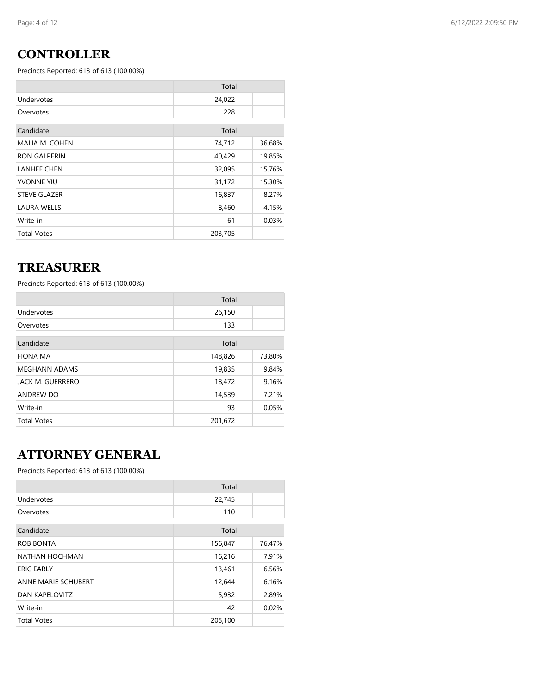## **CONTROLLER**

Precincts Reported: 613 of 613 (100.00%)

|                     | Total   |        |
|---------------------|---------|--------|
| Undervotes          | 24,022  |        |
| Overvotes           | 228     |        |
| Candidate           | Total   |        |
| MALIA M. COHEN      | 74,712  | 36.68% |
| <b>RON GALPERIN</b> | 40,429  | 19.85% |
| <b>LANHEE CHEN</b>  | 32,095  | 15.76% |
| <b>YVONNE YIU</b>   | 31,172  | 15.30% |
| <b>STEVE GLAZER</b> | 16,837  | 8.27%  |
| <b>LAURA WELLS</b>  | 8,460   | 4.15%  |
| Write-in            | 61      | 0.03%  |
| <b>Total Votes</b>  | 203,705 |        |

### **TREASURER**

Precincts Reported: 613 of 613 (100.00%)

|                      | Total   |        |
|----------------------|---------|--------|
| Undervotes           | 26,150  |        |
| Overvotes            | 133     |        |
| Candidate            | Total   |        |
| <b>FIONA MA</b>      | 148,826 | 73.80% |
| <b>MEGHANN ADAMS</b> | 19,835  | 9.84%  |
| JACK M. GUERRERO     | 18,472  | 9.16%  |
| <b>ANDREW DO</b>     | 14,539  | 7.21%  |
| Write-in             | 93      | 0.05%  |
| <b>Total Votes</b>   | 201,672 |        |

## **ATTORNEY GENERAL**

|                            | Total   |        |
|----------------------------|---------|--------|
| Undervotes                 | 22,745  |        |
| Overvotes                  | 110     |        |
| Candidate                  | Total   |        |
| <b>ROB BONTA</b>           | 156,847 | 76.47% |
| NATHAN HOCHMAN             | 16,216  | 7.91%  |
| <b>ERIC EARLY</b>          | 13,461  | 6.56%  |
| <b>ANNE MARIE SCHUBERT</b> | 12,644  | 6.16%  |
| <b>DAN KAPELOVITZ</b>      | 5,932   | 2.89%  |
| Write-in                   | 42      | 0.02%  |
| <b>Total Votes</b>         | 205,100 |        |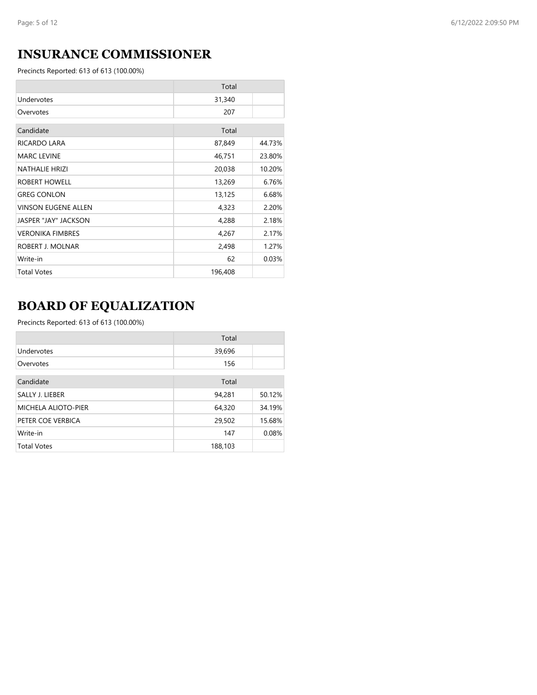## **INSURANCE COMMISSIONER**

Precincts Reported: 613 of 613 (100.00%)

|                            | Total   |        |
|----------------------------|---------|--------|
| Undervotes                 | 31,340  |        |
| Overvotes                  | 207     |        |
| Candidate                  | Total   |        |
| RICARDO LARA               | 87,849  | 44.73% |
| <b>MARC LEVINE</b>         | 46,751  | 23.80% |
| <b>NATHALIE HRIZI</b>      | 20,038  | 10.20% |
| ROBERT HOWELL              | 13,269  | 6.76%  |
| <b>GREG CONLON</b>         | 13,125  | 6.68%  |
| <b>VINSON EUGENE ALLEN</b> | 4,323   | 2.20%  |
| JASPER "JAY" JACKSON       | 4,288   | 2.18%  |
| <b>VERONIKA FIMBRES</b>    | 4,267   | 2.17%  |
| ROBERT J. MOLNAR           | 2,498   | 1.27%  |
| Write-in                   | 62      | 0.03%  |
| <b>Total Votes</b>         | 196,408 |        |

# **BOARD OF EQUALIZATION**

|                            | Total   |        |
|----------------------------|---------|--------|
| Undervotes                 | 39,696  |        |
| Overvotes                  | 156     |        |
| Candidate                  | Total   |        |
| SALLY J. LIEBER            | 94,281  | 50.12% |
| <b>MICHELA ALIOTO-PIER</b> | 64,320  | 34.19% |
| PETER COE VERBICA          | 29,502  | 15.68% |
| Write-in                   | 147     | 0.08%  |
| <b>Total Votes</b>         | 188,103 |        |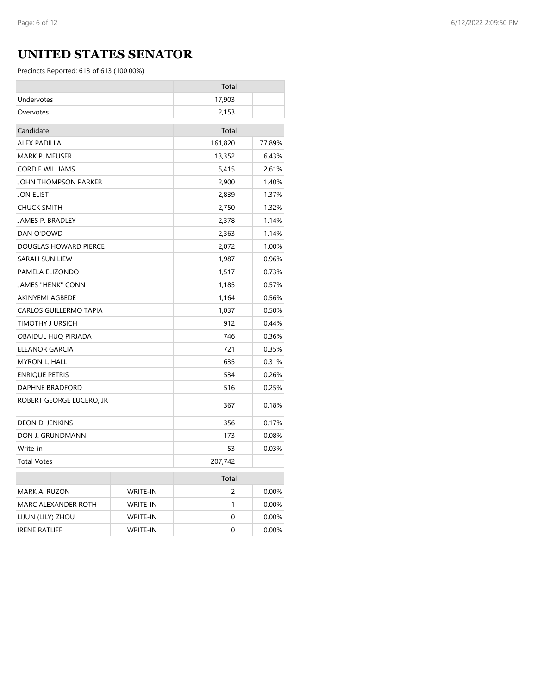## **UNITED STATES SENATOR**

|                               |                 | Total   |          |
|-------------------------------|-----------------|---------|----------|
| Undervotes                    |                 | 17,903  |          |
| Overvotes                     |                 | 2,153   |          |
| Candidate                     |                 | Total   |          |
| <b>ALEX PADILLA</b>           |                 | 161,820 | 77.89%   |
| MARK P. MEUSER                |                 | 13,352  | 6.43%    |
| <b>CORDIE WILLIAMS</b>        |                 | 5,415   | 2.61%    |
| JOHN THOMPSON PARKER          |                 | 2,900   | 1.40%    |
| <b>JON ELIST</b>              |                 | 2,839   | 1.37%    |
| <b>CHUCK SMITH</b>            |                 | 2,750   | 1.32%    |
| JAMES P. BRADLEY              |                 | 2,378   | 1.14%    |
| DAN O'DOWD                    |                 | 2,363   | 1.14%    |
| DOUGLAS HOWARD PIERCE         |                 | 2,072   | 1.00%    |
| SARAH SUN LIEW                |                 | 1,987   | 0.96%    |
| PAMELA ELIZONDO               |                 | 1,517   | 0.73%    |
| JAMES "HENK" CONN             |                 | 1,185   | 0.57%    |
| <b>AKINYEMI AGBEDE</b>        |                 | 1,164   | 0.56%    |
| <b>CARLOS GUILLERMO TAPIA</b> |                 | 1,037   | 0.50%    |
| TIMOTHY J URSICH              |                 | 912     | 0.44%    |
| OBAIDUL HUQ PIRJADA           |                 | 746     | 0.36%    |
| ELEANOR GARCIA                |                 | 721     | 0.35%    |
| <b>MYRON L. HALL</b>          |                 | 635     | 0.31%    |
| <b>ENRIQUE PETRIS</b>         |                 | 534     | 0.26%    |
| DAPHNE BRADFORD               |                 | 516     | 0.25%    |
| ROBERT GEORGE LUCERO, JR      |                 | 367     | 0.18%    |
| DEON D. JENKINS               |                 | 356     | 0.17%    |
| DON J. GRUNDMANN              |                 | 173     | 0.08%    |
| Write-in                      |                 | 53      | 0.03%    |
| <b>Total Votes</b>            |                 | 207,742 |          |
|                               |                 | Total   |          |
| MARK A. RUZON                 | <b>WRITE-IN</b> | 2       | 0.00%    |
| MARC ALEXANDER ROTH           | <b>WRITE-IN</b> | 1       | 0.00%    |
| LIJUN (LILY) ZHOU             | WRITE-IN        | 0       | $0.00\%$ |
| <b>IRENE RATLIFF</b>          | <b>WRITE-IN</b> | 0       | 0.00%    |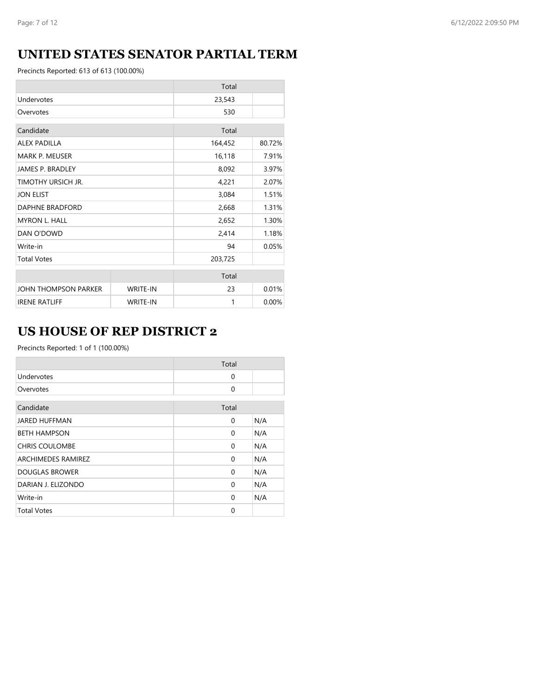## **UNITED STATES SENATOR PARTIAL TERM**

Precincts Reported: 613 of 613 (100.00%)

|                         |                 | Total   |        |
|-------------------------|-----------------|---------|--------|
| Undervotes              |                 | 23,543  |        |
| Overvotes               |                 | 530     |        |
| Candidate               |                 | Total   |        |
| <b>ALEX PADILLA</b>     |                 | 164,452 | 80.72% |
| <b>MARK P. MEUSER</b>   |                 | 16,118  | 7.91%  |
| <b>JAMES P. BRADLEY</b> |                 | 8,092   | 3.97%  |
| TIMOTHY URSICH JR.      |                 | 4,221   | 2.07%  |
| <b>JON ELIST</b>        |                 | 3,084   | 1.51%  |
| DAPHNE BRADFORD         |                 | 2,668   | 1.31%  |
| <b>MYRON L. HALL</b>    |                 | 2,652   | 1.30%  |
| DAN O'DOWD              |                 | 2,414   | 1.18%  |
| Write-in                |                 | 94      | 0.05%  |
| <b>Total Votes</b>      |                 | 203,725 |        |
|                         |                 | Total   |        |
| JOHN THOMPSON PARKER    | <b>WRITE-IN</b> | 23      | 0.01%  |
| <b>IRENE RATLIFF</b>    | <b>WRITE-IN</b> | 1       | 0.00%  |

## **US HOUSE OF REP DISTRICT 2**

|                       | Total    |     |
|-----------------------|----------|-----|
| Undervotes            | $\Omega$ |     |
| Overvotes             | $\Omega$ |     |
| Candidate             | Total    |     |
| <b>JARED HUFFMAN</b>  | $\Omega$ | N/A |
| <b>BETH HAMPSON</b>   | $\Omega$ | N/A |
| <b>CHRIS COULOMBE</b> | $\Omega$ | N/A |
| ARCHIMEDES RAMIREZ    | $\Omega$ | N/A |
| <b>DOUGLAS BROWER</b> | $\Omega$ | N/A |
| DARIAN J. ELIZONDO    | $\Omega$ | N/A |
| Write-in              | $\Omega$ | N/A |
| <b>Total Votes</b>    | $\Omega$ |     |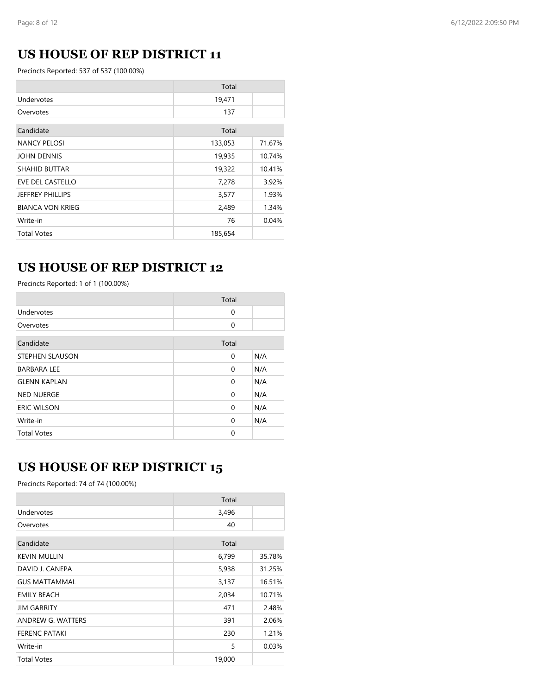## **US HOUSE OF REP DISTRICT 11**

Precincts Reported: 537 of 537 (100.00%)

|                         | Total   |        |
|-------------------------|---------|--------|
| Undervotes              | 19,471  |        |
| Overvotes               | 137     |        |
| Candidate               | Total   |        |
| <b>NANCY PELOSI</b>     | 133,053 | 71.67% |
| <b>JOHN DENNIS</b>      | 19,935  | 10.74% |
| <b>SHAHID BUTTAR</b>    | 19,322  | 10.41% |
| EVE DEL CASTELLO        | 7,278   | 3.92%  |
| <b>JEFFREY PHILLIPS</b> | 3,577   | 1.93%  |
| <b>BIANCA VON KRIEG</b> | 2,489   | 1.34%  |
| Write-in                | 76      | 0.04%  |
| <b>Total Votes</b>      | 185,654 |        |

## **US HOUSE OF REP DISTRICT 12**

Precincts Reported: 1 of 1 (100.00%)

|                        | Total    |     |
|------------------------|----------|-----|
| Undervotes             | 0        |     |
| Overvotes              | $\Omega$ |     |
| Candidate              | Total    |     |
| <b>STEPHEN SLAUSON</b> | 0        | N/A |
| <b>BARBARA LEE</b>     | 0        | N/A |
| <b>GLENN KAPLAN</b>    | 0        | N/A |
| <b>NED NUERGE</b>      | 0        | N/A |
| <b>ERIC WILSON</b>     | 0        | N/A |
| Write-in               | $\Omega$ | N/A |
| <b>Total Votes</b>     | 0        |     |

### **US HOUSE OF REP DISTRICT 15**

Precincts Reported: 74 of 74 (100.00%)

|                      | Total  |        |
|----------------------|--------|--------|
| Undervotes           | 3,496  |        |
| Overvotes            | 40     |        |
| Candidate            | Total  |        |
| <b>KEVIN MULLIN</b>  | 6,799  | 35.78% |
| DAVID J. CANEPA      | 5,938  | 31.25% |
| <b>GUS MATTAMMAL</b> | 3,137  | 16.51% |
| <b>EMILY BEACH</b>   | 2,034  | 10.71% |
| <b>JIM GARRITY</b>   | 471    | 2.48%  |
| ANDREW G. WATTERS    | 391    | 2.06%  |
| <b>FERENC PATAKI</b> | 230    | 1.21%  |
| Write-in             | 5      | 0.03%  |
| <b>Total Votes</b>   | 19,000 |        |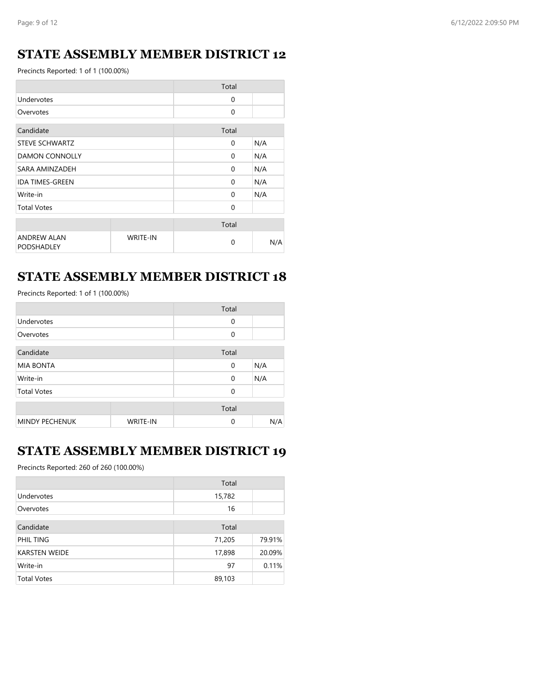## **STATE ASSEMBLY MEMBER DISTRICT 12**

Precincts Reported: 1 of 1 (100.00%)

|                                         |                 | Total    |     |
|-----------------------------------------|-----------------|----------|-----|
| Undervotes                              |                 | 0        |     |
| Overvotes                               |                 | 0        |     |
| Candidate                               |                 | Total    |     |
| <b>STEVE SCHWARTZ</b>                   |                 | $\Omega$ | N/A |
| <b>DAMON CONNOLLY</b>                   |                 | $\Omega$ | N/A |
| SARA AMINZADEH                          |                 | $\Omega$ | N/A |
| <b>IDA TIMES-GREEN</b>                  |                 | $\Omega$ | N/A |
| Write-in                                |                 | 0        | N/A |
| <b>Total Votes</b>                      |                 | 0        |     |
|                                         |                 | Total    |     |
| <b>ANDREW ALAN</b><br><b>PODSHADLEY</b> | <b>WRITE-IN</b> | 0        | N/A |

### **STATE ASSEMBLY MEMBER DISTRICT 18**

Precincts Reported: 1 of 1 (100.00%)

|                       |                 | Total       |     |
|-----------------------|-----------------|-------------|-----|
| Undervotes            |                 | $\mathbf 0$ |     |
| Overvotes             |                 | 0           |     |
| Candidate             |                 | Total       |     |
| <b>MIA BONTA</b>      |                 | $\mathbf 0$ | N/A |
| Write-in              |                 | $\mathbf 0$ | N/A |
| <b>Total Votes</b>    |                 | $\Omega$    |     |
|                       |                 | Total       |     |
| <b>MINDY PECHENUK</b> | <b>WRITE-IN</b> | $\Omega$    | N/A |

### **STATE ASSEMBLY MEMBER DISTRICT 19**

Precincts Reported: 260 of 260 (100.00%)

|                      | Total  |        |
|----------------------|--------|--------|
| Undervotes           | 15,782 |        |
| Overvotes            | 16     |        |
| Candidate            | Total  |        |
| PHIL TING            | 71,205 | 79.91% |
| <b>KARSTEN WEIDE</b> | 17,898 | 20.09% |
| Write-in             | 97     | 0.11%  |
| <b>Total Votes</b>   | 89,103 |        |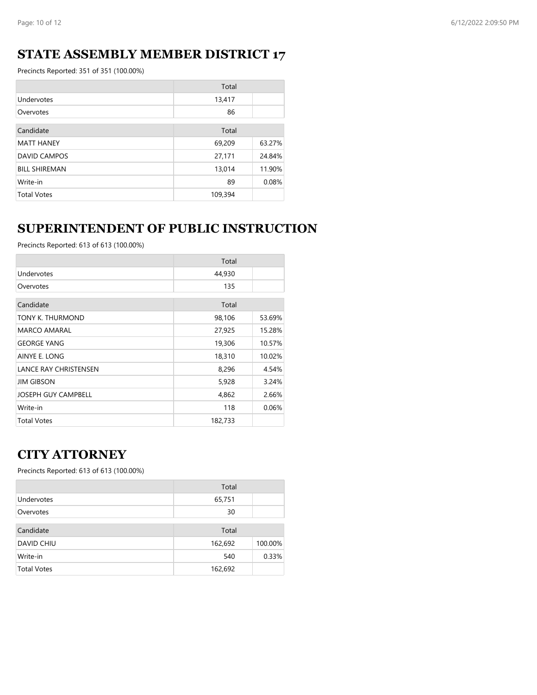## **STATE ASSEMBLY MEMBER DISTRICT 17**

Precincts Reported: 351 of 351 (100.00%)

|                      | Total   |        |
|----------------------|---------|--------|
| Undervotes           | 13,417  |        |
| Overvotes            | 86      |        |
| Candidate            | Total   |        |
|                      |         |        |
| <b>MATT HANEY</b>    | 69,209  | 63.27% |
| <b>DAVID CAMPOS</b>  | 27,171  | 24.84% |
| <b>BILL SHIREMAN</b> | 13,014  | 11.90% |
| Write-in             | 89      | 0.08%  |
| <b>Total Votes</b>   | 109,394 |        |

## **SUPERINTENDENT OF PUBLIC INSTRUCTION**

Precincts Reported: 613 of 613 (100.00%)

|                              | Total   |        |
|------------------------------|---------|--------|
| Undervotes                   | 44,930  |        |
| Overvotes                    | 135     |        |
| Candidate                    | Total   |        |
| TONY K. THURMOND             | 98,106  | 53.69% |
| MARCO AMARAL                 | 27,925  | 15.28% |
| <b>GEORGE YANG</b>           | 19,306  | 10.57% |
| AINYE E. LONG                | 18,310  | 10.02% |
| <b>LANCE RAY CHRISTENSEN</b> | 8,296   | 4.54%  |
| <b>JIM GIBSON</b>            | 5,928   | 3.24%  |
| <b>JOSEPH GUY CAMPBELL</b>   | 4,862   | 2.66%  |
| Write-in                     | 118     | 0.06%  |
| <b>Total Votes</b>           | 182,733 |        |

#### **CITY ATTORNEY**

|                    | Total   |         |
|--------------------|---------|---------|
| Undervotes         | 65,751  |         |
| Overvotes          | 30      |         |
| Candidate          | Total   |         |
| <b>DAVID CHIU</b>  | 162,692 | 100.00% |
| Write-in           | 540     | 0.33%   |
| <b>Total Votes</b> | 162,692 |         |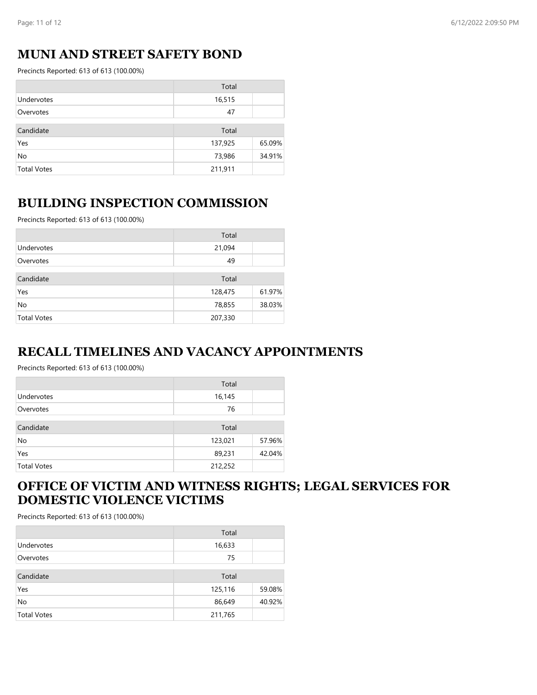### **MUNI AND STREET SAFETY BOND**

Precincts Reported: 613 of 613 (100.00%)

|                    | Total   |        |
|--------------------|---------|--------|
| Undervotes         | 16,515  |        |
| Overvotes          | 47      |        |
| Candidate          | Total   |        |
| Yes                | 137,925 | 65.09% |
| No                 | 73,986  | 34.91% |
| <b>Total Votes</b> | 211,911 |        |

#### **BUILDING INSPECTION COMMISSION**

Precincts Reported: 613 of 613 (100.00%)

|                    | Total   |        |
|--------------------|---------|--------|
| Undervotes         | 21,094  |        |
| Overvotes          | 49      |        |
| Candidate          | Total   |        |
| Yes                | 128,475 | 61.97% |
| No                 | 78,855  | 38.03% |
| <b>Total Votes</b> | 207,330 |        |

#### **RECALL TIMELINES AND VACANCY APPOINTMENTS**

Precincts Reported: 613 of 613 (100.00%)

|                    | Total   |        |
|--------------------|---------|--------|
| Undervotes         | 16,145  |        |
| Overvotes          | 76      |        |
| Candidate          | Total   |        |
| No                 | 123,021 | 57.96% |
| Yes                | 89,231  | 42.04% |
| <b>Total Votes</b> | 212,252 |        |

### **OFFICE OF VICTIM AND WITNESS RIGHTS; LEGAL SERVICES FOR DOMESTIC VIOLENCE VICTIMS**

|                    | Total   |        |
|--------------------|---------|--------|
| Undervotes         | 16,633  |        |
| Overvotes          | 75      |        |
| Candidate          | Total   |        |
| Yes                | 125,116 | 59.08% |
| No                 | 86,649  | 40.92% |
| <b>Total Votes</b> | 211,765 |        |